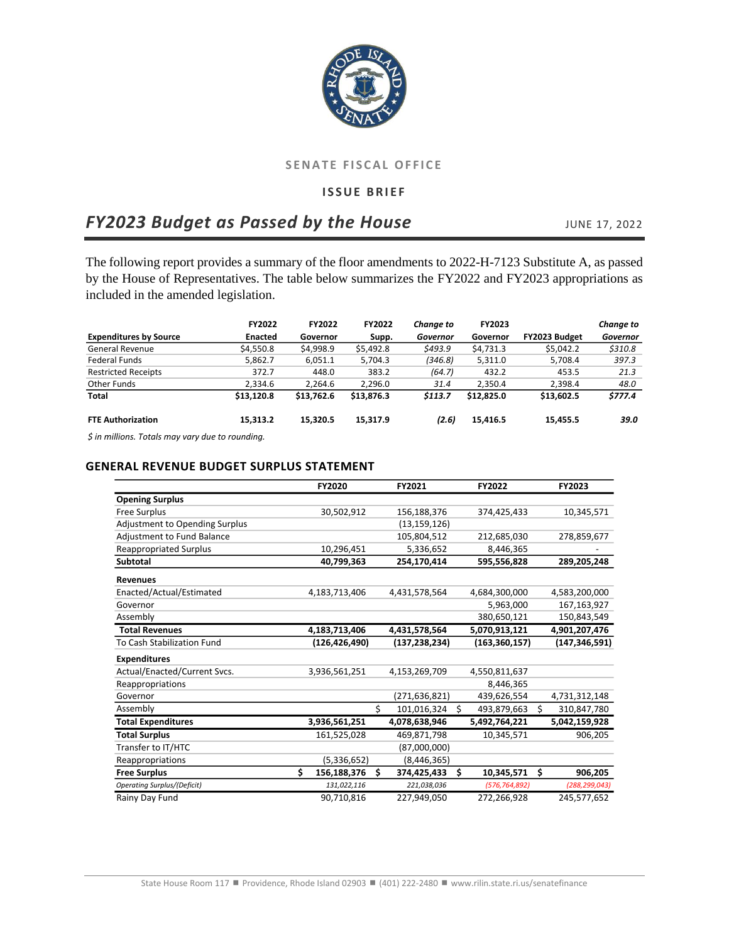

## **SENATE FISCAL OFFICE**

## **ISSUE BRIEF**

# *FY2023 Budget as Passed by the House* JUNE 17, 2022

The following report provides a summary of the floor amendments to 2022-H-7123 Substitute A, as passed by the House of Representatives. The table below summarizes the FY2022 and FY2023 appropriations as included in the amended legislation.

|                               | <b>FY2022</b>  | <b>FY2022</b> | <b>FY2022</b> | Change to | FY2023     |               | Change to |
|-------------------------------|----------------|---------------|---------------|-----------|------------|---------------|-----------|
| <b>Expenditures by Source</b> | <b>Enacted</b> | Governor      | Supp.         | Governor  | Governor   | FY2023 Budget | Governor  |
| General Revenue               | \$4,550.8      | \$4.998.9     | \$5,492.8     | \$493.9   | \$4,731.3  | \$5.042.2     | \$310.8   |
| <b>Federal Funds</b>          | 5.862.7        | 6,051.1       | 5.704.3       | (346.8)   | 5,311.0    | 5,708.4       | 397.3     |
| <b>Restricted Receipts</b>    | 372.7          | 448.0         | 383.2         | (64.7)    | 432.2      | 453.5         | 21.3      |
| Other Funds                   | 2.334.6        | 2.264.6       | 2.296.0       | 31.4      | 2,350.4    | 2,398.4       | 48.0      |
| <b>Total</b>                  | \$13,120.8     | \$13,762.6    | \$13,876.3    | \$113.7   | \$12,825.0 | \$13,602.5    | \$777.4   |
| <b>FTE Authorization</b>      | 15.313.2       | 15.320.5      | 15,317.9      | (2.6)     | 15.416.5   | 15,455.5      | 39.0      |

*\$ in millions. Totals may vary due to rounding.*

# **GENERAL REVENUE BUDGET SURPLUS STATEMENT**

|                                    |   | FY2020          |    | FY2021          |    | FY2022          |     | FY2023          |
|------------------------------------|---|-----------------|----|-----------------|----|-----------------|-----|-----------------|
| <b>Opening Surplus</b>             |   |                 |    |                 |    |                 |     |                 |
| <b>Free Surplus</b>                |   | 30,502,912      |    | 156,188,376     |    | 374,425,433     |     | 10,345,571      |
| Adjustment to Opending Surplus     |   |                 |    | (13, 159, 126)  |    |                 |     |                 |
| Adjustment to Fund Balance         |   |                 |    | 105,804,512     |    | 212,685,030     |     | 278,859,677     |
| <b>Reappropriated Surplus</b>      |   | 10,296,451      |    | 5,336,652       |    | 8,446,365       |     |                 |
| Subtotal                           |   | 40,799,363      |    | 254,170,414     |    | 595,556,828     |     | 289,205,248     |
| <b>Revenues</b>                    |   |                 |    |                 |    |                 |     |                 |
| Enacted/Actual/Estimated           |   | 4,183,713,406   |    | 4,431,578,564   |    | 4,684,300,000   |     | 4,583,200,000   |
| Governor                           |   |                 |    |                 |    | 5,963,000       |     | 167,163,927     |
| Assembly                           |   |                 |    |                 |    | 380,650,121     |     | 150,843,549     |
| <b>Total Revenues</b>              |   | 4,183,713,406   |    | 4,431,578,564   |    | 5,070,913,121   |     | 4,901,207,476   |
| To Cash Stabilization Fund         |   | (126, 426, 490) |    | (137, 238, 234) |    | (163, 360, 157) |     | (147, 346, 591) |
| <b>Expenditures</b>                |   |                 |    |                 |    |                 |     |                 |
| Actual/Enacted/Current Svcs.       |   | 3,936,561,251   |    | 4,153,269,709   |    | 4,550,811,637   |     |                 |
| Reappropriations                   |   |                 |    |                 |    | 8,446,365       |     |                 |
| Governor                           |   |                 |    | (271, 636, 821) |    | 439,626,554     |     | 4,731,312,148   |
| Assembly                           |   |                 | Ś. | 101,016,324     | \$ | 493,879,663     | \$  | 310,847,780     |
| <b>Total Expenditures</b>          |   | 3,936,561,251   |    | 4,078,638,946   |    | 5,492,764,221   |     | 5,042,159,928   |
| <b>Total Surplus</b>               |   | 161,525,028     |    | 469,871,798     |    | 10,345,571      |     | 906,205         |
| Transfer to IT/HTC                 |   |                 |    | (87,000,000)    |    |                 |     |                 |
| Reappropriations                   |   | (5,336,652)     |    | (8,446,365)     |    |                 |     |                 |
| <b>Free Surplus</b>                | Ś | 156,188,376     | Ś. | 374,425,433     | Ś. | 10,345,571      | \$. | 906,205         |
| <b>Operating Surplus/(Deficit)</b> |   | 131,022,116     |    | 221,038,036     |    | (576, 764, 892) |     | (288, 299, 043) |
| Rainy Day Fund                     |   | 90,710,816      |    | 227,949,050     |    | 272,266,928     |     | 245,577,652     |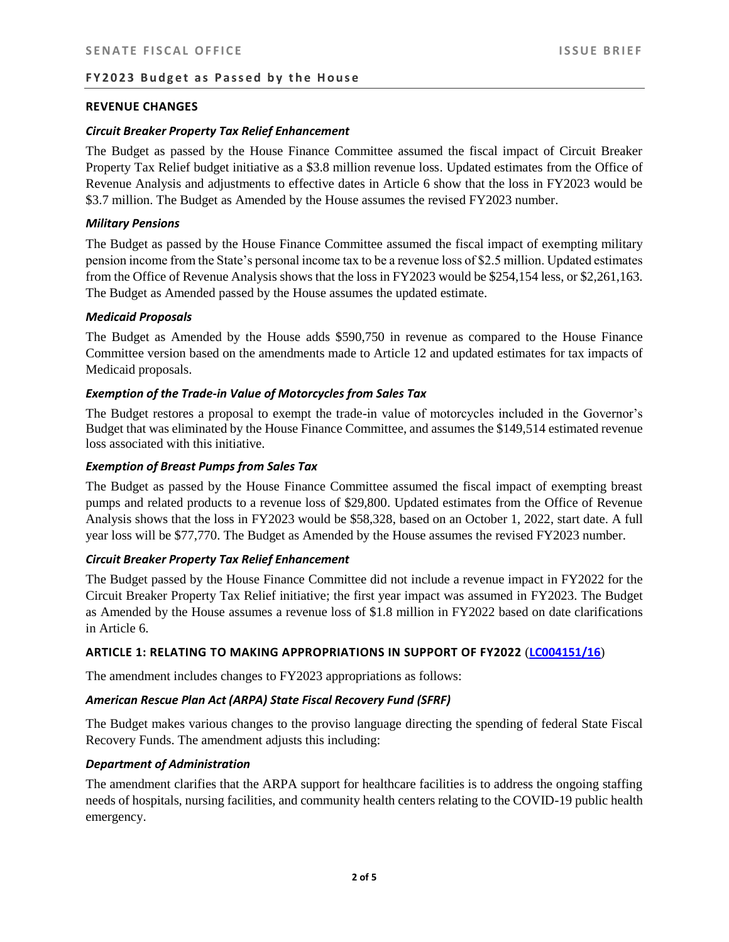#### **REVENUE CHANGES**

#### *Circuit Breaker Property Tax Relief Enhancement*

The Budget as passed by the House Finance Committee assumed the fiscal impact of Circuit Breaker Property Tax Relief budget initiative as a \$3.8 million revenue loss. Updated estimates from the Office of Revenue Analysis and adjustments to effective dates in Article 6 show that the loss in FY2023 would be \$3.7 million. The Budget as Amended by the House assumes the revised FY2023 number.

#### *Military Pensions*

The Budget as passed by the House Finance Committee assumed the fiscal impact of exempting military pension income from the State's personal income tax to be a revenue loss of \$2.5 million. Updated estimates from the Office of Revenue Analysis shows that the loss in FY2023 would be \$254,154 less, or \$2,261,163. The Budget as Amended passed by the House assumes the updated estimate.

#### *Medicaid Proposals*

The Budget as Amended by the House adds \$590,750 in revenue as compared to the House Finance Committee version based on the amendments made to Article 12 and updated estimates for tax impacts of Medicaid proposals.

## *Exemption of the Trade-in Value of Motorcycles from Sales Tax*

The Budget restores a proposal to exempt the trade-in value of motorcycles included in the Governor's Budget that was eliminated by the House Finance Committee, and assumes the \$149,514 estimated revenue loss associated with this initiative.

## *Exemption of Breast Pumps from Sales Tax*

The Budget as passed by the House Finance Committee assumed the fiscal impact of exempting breast pumps and related products to a revenue loss of \$29,800. Updated estimates from the Office of Revenue Analysis shows that the loss in FY2023 would be \$58,328, based on an October 1, 2022, start date. A full year loss will be \$77,770. The Budget as Amended by the House assumes the revised FY2023 number.

## *Circuit Breaker Property Tax Relief Enhancement*

The Budget passed by the House Finance Committee did not include a revenue impact in FY2022 for the Circuit Breaker Property Tax Relief initiative; the first year impact was assumed in FY2023. The Budget as Amended by the House assumes a revenue loss of \$1.8 million in FY2022 based on date clarifications in Article 6.

#### **ARTICLE 1: RELATING TO MAKING APPROPRIATIONS IN SUPPORT OF FY2022** (**[LC004151/16](http://webserver.rilegislature.gov/gen_assembly/Daily/housefloorcorr/MAM-H7123-A-1-0-4151-16.pdf)**)

The amendment includes changes to FY2023 appropriations as follows:

# *American Rescue Plan Act (ARPA) State Fiscal Recovery Fund (SFRF)*

The Budget makes various changes to the proviso language directing the spending of federal State Fiscal Recovery Funds. The amendment adjusts this including:

#### *Department of Administration*

The amendment clarifies that the ARPA support for healthcare facilities is to address the ongoing staffing needs of hospitals, nursing facilities, and community health centers relating to the COVID-19 public health emergency.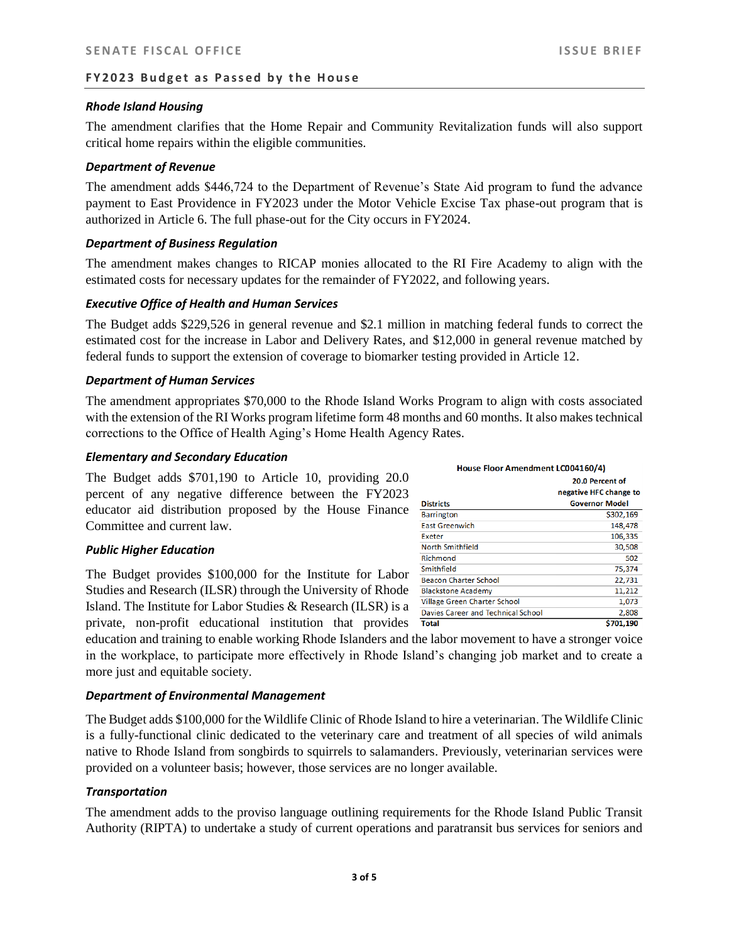## *Rhode Island Housing*

The amendment clarifies that the Home Repair and Community Revitalization funds will also support critical home repairs within the eligible communities.

## *Department of Revenue*

The amendment adds \$446,724 to the Department of Revenue's State Aid program to fund the advance payment to East Providence in FY2023 under the Motor Vehicle Excise Tax phase-out program that is authorized in Article 6. The full phase-out for the City occurs in FY2024.

## *Department of Business Regulation*

The amendment makes changes to RICAP monies allocated to the RI Fire Academy to align with the estimated costs for necessary updates for the remainder of FY2022, and following years.

## *Executive Office of Health and Human Services*

The Budget adds \$229,526 in general revenue and \$2.1 million in matching federal funds to correct the estimated cost for the increase in Labor and Delivery Rates, and \$12,000 in general revenue matched by federal funds to support the extension of coverage to biomarker testing provided in Article 12.

#### *Department of Human Services*

The amendment appropriates \$70,000 to the Rhode Island Works Program to align with costs associated with the extension of the RI Works program lifetime form 48 months and 60 months. It also makes technical corrections to the Office of Health Aging's Home Health Agency Rates.

#### *Elementary and Secondary Education*

The Budget adds \$701,190 to Article 10, providing 20.0 percent of any negative difference between the FY2023 educator aid distribution proposed by the House Finance Committee and current law.

## *Public Higher Education*

The Budget provides \$100,000 for the Institute for Labor Studies and Research (ILSR) through the University of Rhode Island. The Institute for Labor Studies & Research (ILSR) is a private, non-profit educational institution that provides

education and training to enable working Rhode Islanders and the labor movement to have a stronger voice in the workplace, to participate more effectively in Rhode Island's changing job market and to create a more just and equitable society.

## *Department of Environmental Management*

The Budget adds \$100,000 for the Wildlife Clinic of Rhode Island to hire a veterinarian. The Wildlife Clinic is a fully-functional clinic dedicated to the veterinary care and treatment of all species of wild animals native to Rhode Island from songbirds to squirrels to salamanders. Previously, veterinarian services were provided on a volunteer basis; however, those services are no longer available.

## *Transportation*

The amendment adds to the proviso language outlining requirements for the Rhode Island Public Transit Authority (RIPTA) to undertake a study of current operations and paratransit bus services for seniors and

| House Floor Amendment LC004160/4)  |                        |  |  |  |  |  |
|------------------------------------|------------------------|--|--|--|--|--|
|                                    | 20.0 Percent of        |  |  |  |  |  |
|                                    | negative HFC change to |  |  |  |  |  |
| <b>Districts</b>                   | <b>Governor Model</b>  |  |  |  |  |  |
| <b>Barrington</b>                  | \$302,169              |  |  |  |  |  |
| <b>Fast Greenwich</b>              | 148,478                |  |  |  |  |  |
| <b>Exeter</b>                      | 106,335                |  |  |  |  |  |
| North Smithfield                   | 30,508                 |  |  |  |  |  |
| Richmond                           | 502                    |  |  |  |  |  |
| Smithfield                         | 75,374                 |  |  |  |  |  |
| <b>Beacon Charter School</b>       | 22,731                 |  |  |  |  |  |
| <b>Blackstone Academy</b>          | 11,212                 |  |  |  |  |  |
| Village Green Charter School       | 1,073                  |  |  |  |  |  |
| Davies Career and Technical School | 2,808                  |  |  |  |  |  |
| <b>Total</b>                       | \$701,190              |  |  |  |  |  |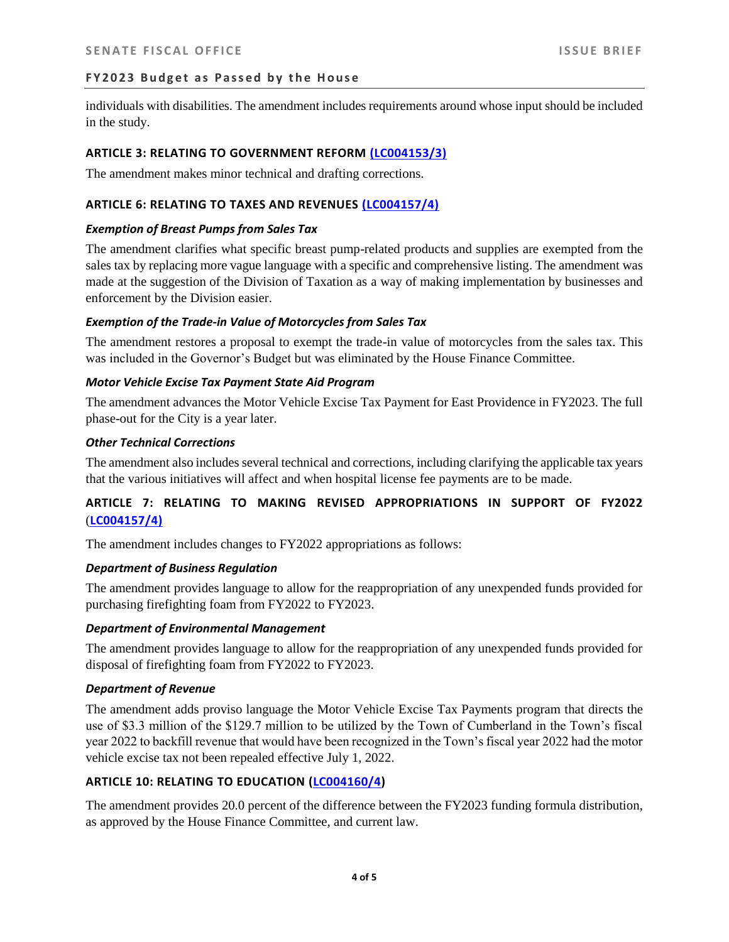individuals with disabilities. The amendment includes requirements around whose input should be included in the study.

## **ARTICLE 3: RELATING TO GOVERNMENT REFORM [\(LC004153/3\)](http://webserver.rilegislature.gov/gen_assembly/Daily/housefloorcorr/MAM-H7123-A-1-0-4153-3.pdf)**

The amendment makes minor technical and drafting corrections.

## **ARTICLE 6: RELATING TO TAXES AND REVENUES [\(LC004157/4\)](http://webserver.rilegislature.gov/gen_assembly/Daily/housefloorcorr/MAM-H7123-A-1-0-4156-11.pdf)**

## *Exemption of Breast Pumps from Sales Tax*

The amendment clarifies what specific breast pump-related products and supplies are exempted from the sales tax by replacing more vague language with a specific and comprehensive listing. The amendment was made at the suggestion of the Division of Taxation as a way of making implementation by businesses and enforcement by the Division easier.

## *Exemption of the Trade-in Value of Motorcycles from Sales Tax*

The amendment restores a proposal to exempt the trade-in value of motorcycles from the sales tax. This was included in the Governor's Budget but was eliminated by the House Finance Committee.

## *Motor Vehicle Excise Tax Payment State Aid Program*

The amendment advances the Motor Vehicle Excise Tax Payment for East Providence in FY2023. The full phase-out for the City is a year later.

#### *Other Technical Corrections*

The amendment also includes several technical and corrections, including clarifying the applicable tax years that the various initiatives will affect and when hospital license fee payments are to be made.

# **ARTICLE 7: RELATING TO MAKING REVISED APPROPRIATIONS IN SUPPORT OF FY2022** (**[LC004157/4\)](http://webserver.rilegislature.gov/gen_assembly/Daily/housefloorcorr/MAM-H7123-A-1-0-4157-4.pdf)**

The amendment includes changes to FY2022 appropriations as follows:

# *Department of Business Regulation*

The amendment provides language to allow for the reappropriation of any unexpended funds provided for purchasing firefighting foam from FY2022 to FY2023.

## *Department of Environmental Management*

The amendment provides language to allow for the reappropriation of any unexpended funds provided for disposal of firefighting foam from FY2022 to FY2023.

# *Department of Revenue*

The amendment adds proviso language the Motor Vehicle Excise Tax Payments program that directs the use of \$3.3 million of the \$129.7 million to be utilized by the Town of Cumberland in the Town's fiscal year 2022 to backfill revenue that would have been recognized in the Town's fiscal year 2022 had the motor vehicle excise tax not been repealed effective July 1, 2022.

## **ARTICLE 10: RELATING TO EDUCATION [\(LC004160/4\)](http://webserver.rilegislature.gov/gen_assembly/Daily/housefloorcorr/MAM-H7123-A-1-0-4160-4.pdf)**

The amendment provides 20.0 percent of the difference between the FY2023 funding formula distribution, as approved by the House Finance Committee, and current law.